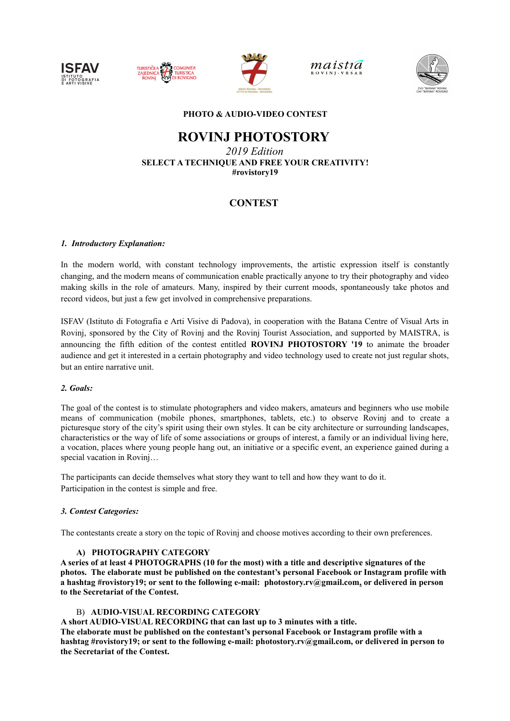





maistía



# **PHOTO & AUDIO-VIDEO CONTEST**

# **ROVINJ PHOTOSTORY**

*2019 Edition* **SELECT A TECHNIQUE AND FREE YOUR CREATIVITY! #rovistory19**

# **CONTEST**

# *1. Introductory Explanation:*

In the modern world, with constant technology improvements, the artistic expression itself is constantly changing, and the modern means of communication enable practically anyone to try their photography and video making skills in the role of amateurs. Many, inspired by their current moods, spontaneously take photos and record videos, but just a few get involved in comprehensive preparations.

ISFAV (Istituto di Fotografia e Arti Visive di Padova), in cooperation with the Batana Centre of Visual Arts in Rovinj, sponsored by the City of Rovinj and the Rovinj Tourist Association, and supported by MAISTRA, is announcing the fifth edition of the contest entitled **ROVINJ PHOTOSTORY '19** to animate the broader audience and get it interested in a certain photography and video technology used to create not just regular shots, but an entire narrative unit.

# *2. Goals:*

The goal of the contest is to stimulate photographers and video makers, amateurs and beginners who use mobile means of communication (mobile phones, smartphones, tablets, etc.) to observe Rovinj and to create a picturesque story of the city's spirit using their own styles. It can be city architecture or surrounding landscapes, characteristics or the way of life of some associations or groups of interest, a family or an individual living here, a vocation, places where young people hang out, an initiative or a specific event, an experience gained during a special vacation in Rovinj…

The participants can decide themselves what story they want to tell and how they want to do it. Participation in the contest is simple and free.

#### *3. Contest Categories:*

The contestants create a story on the topic of Rovinj and choose motives according to their own preferences.

#### **A) PHOTOGRAPHY CATEGORY**

**A series of at least 4 PHOTOGRAPHS (10 for the most) with a title and descriptive signatures of the photos. The elaborate must be published on the contestant's personal Facebook or Instagram profile with a hashtag #rovistory19; or sent to the following e-mail: photostory.rv@gmail.com, or delivered in person to the Secretariat of the Contest.** 

#### B) **AUDIO-VISUAL RECORDING CATEGORY**

**A short AUDIO-VISUAL RECORDING that can last up to 3 minutes with a title. The elaborate must be published on the contestant's personal Facebook or Instagram profile with a** 

**hashtag #rovistory19; or sent to the following e-mail: photostory.rv@gmail.com, or delivered in person to the Secretariat of the Contest.**